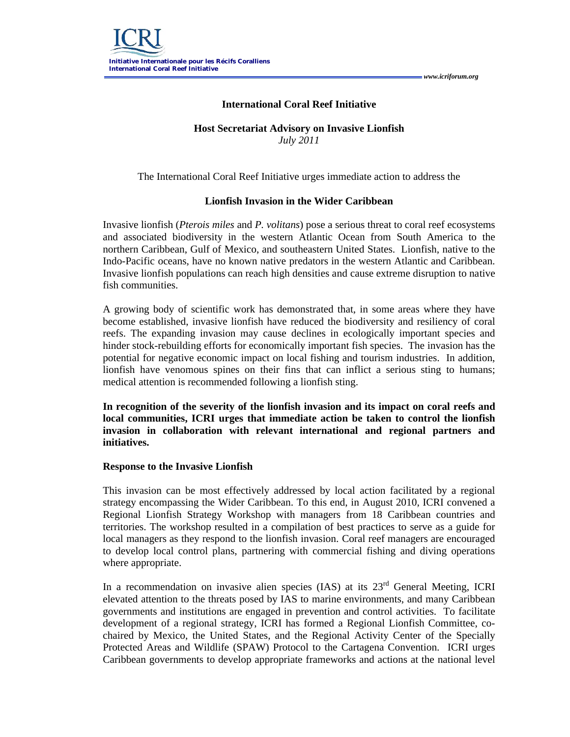## **International Coral Reef Initiative**

## **Host Secretariat Advisory on Invasive Lionfish** *July 2011*

The International Coral Reef Initiative urges immediate action to address the

## **Lionfish Invasion in the Wider Caribbean**

Invasive lionfish (*Pterois miles* and *P. volitans*) pose a serious threat to coral reef ecosystems and associated biodiversity in the western Atlantic Ocean from South America to the northern Caribbean, Gulf of Mexico, and southeastern United States. Lionfish, native to the Indo-Pacific oceans, have no known native predators in the western Atlantic and Caribbean. Invasive lionfish populations can reach high densities and cause extreme disruption to native fish communities.

A growing body of scientific work has demonstrated that, in some areas where they have become established, invasive lionfish have reduced the biodiversity and resiliency of coral reefs. The expanding invasion may cause declines in ecologically important species and hinder stock-rebuilding efforts for economically important fish species. The invasion has the potential for negative economic impact on local fishing and tourism industries. In addition, lionfish have venomous spines on their fins that can inflict a serious sting to humans; medical attention is recommended following a lionfish sting.

**In recognition of the severity of the lionfish invasion and its impact on coral reefs and local communities, ICRI urges that immediate action be taken to control the lionfish invasion in collaboration with relevant international and regional partners and initiatives.**

## **Response to the Invasive Lionfish**

This invasion can be most effectively addressed by local action facilitated by a regional strategy encompassing the Wider Caribbean. To this end, in August 2010, ICRI convened a Regional Lionfish Strategy Workshop with managers from 18 Caribbean countries and territories. The workshop resulted in a compilation of best practices to serve as a guide for local managers as they respond to the lionfish invasion. Coral reef managers are encouraged to develop local control plans, partnering with commercial fishing and diving operations where appropriate.

In a recommendation on invasive alien species (IAS) at its 23<sup>rd</sup> General Meeting, ICRI elevated attention to the threats posed by IAS to marine environments, and many Caribbean governments and institutions are engaged in prevention and control activities. To facilitate development of a regional strategy, ICRI has formed a Regional Lionfish Committee, cochaired by Mexico, the United States, and the Regional Activity Center of the Specially Protected Areas and Wildlife (SPAW) Protocol to the Cartagena Convention. ICRI urges Caribbean governments to develop appropriate frameworks and actions at the national level